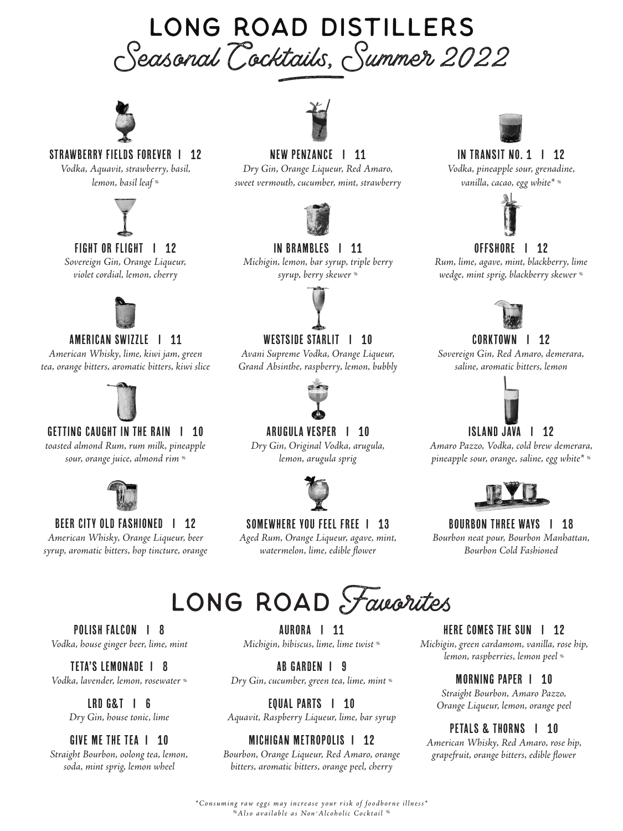### Seasonal Cocktails, Summer 2022 LONG ROAD DISTILLERS adus,



#### Strawberry Fields Forever I 12

*Vodka, Aquavit, strawberry, basil, lemon, basil leaf %*



#### FIGHT OR FLIGHT | 12

*Sovereign Gin, Orange Liqueur, violet cordial, lemon, cherry*



#### AMERICAN SWIZZLE | 11

*American Whisky, lime, kiwi jam, green tea, orange bitters, aromatic bitters, kiwi slice*



#### GETTING CAUGHT IN THE RAIN | 10

*toasted almond Rum, rum milk, pineapple sour, orange juice, almond rim %*



### BEER CITY OLD FASHIONED | 12

*American Whisky, Orange Liqueur, beer syrup, aromatic bitters, hop tincture, orange*



#### New Penzance I 11

*Dry Gin, Orange Liqueur, Red Amaro, sweet vermouth, cucumber, mint, strawberry*



#### IN BRAMBLES | 11

*Michigin, lemon, bar syrup, triple berry syrup, berry skewer %*



#### Westside Starlit I 10

*Avani Supreme Vodka, Orange Liqueur, Grand Absinthe, raspberry, lemon, bubbly* 



#### Arugula Vesper I 10

*Dry Gin, Original Vodka, arugula, lemon, arugula sprig*



#### SOMEWHERE YOU FEEL FREE | 13

*Aged Rum, Orange Liqueur, agave, mint, watermelon, lime, edible flower*



#### In Transit No. 1 I 12

*Vodka, pineapple sour, grenadine, vanilla, cacao, egg white\* %*



#### oFfshore I 12

*Rum, lime, agave, mint, blackberry, lime wedge, mint sprig, blackberry skewer %*



#### CORKTOWN | 12

*Sovereign Gin, Red Amaro, demerara, saline, aromatic bitters, lemon*



#### ISLAND JAVA | 12

*Amaro Pazzo, Vodka, cold brew demerara, pineapple sour, orange, saline, egg white\* %*



#### Bourbon Three WayS I 18 *Bourbon neat pour, Bourbon Manhattan, Bourbon Cold Fashioned*



POLISH FALCON | 8 *Vodka, house ginger beer, lime, mint*

Teta's Lemonade I 8 *Vodka, lavender, lemon, rosewater %*

> LRD G&T I 6 *Dry Gin, house tonic, lime*

#### GIVE ME THE TEA I 10

*Straight Bourbon, oolong tea, lemon, soda, mint sprig, lemon wheel*

AURORA | 11 *Michigin, hibiscus, lime, lime twist %*

AB Garden I 9 *Dry Gin, cucumber, green tea, lime, mint %*

EQUAL PARTS | 10 *Aquavit, Raspberry Liqueur, lime, bar syrup*

### MICHIGAN METROPOLIS I 12

*Bourbon, Orange Liqueur, Red Amaro, orange bitters, aromatic bitters, orange peel, cherry*

HERE COMES THE SUN | 12

*Michigin, green cardamom, vanilla, rose hip, lemon, raspberries, lemon peel %*

#### Morning Paper I 10

*Straight Bourbon, Amaro Pazzo, Orange Liqueur, lemon, orange peel*

#### Petals & Thorns I 10

*American Whisky, Red Amaro, rose hip, grapefruit, orange bitters, edible flower*

*%Also available as Non-Alcoholic Cocktail % \*Consuming raw eggs may increase your risk of foodborne illness\**